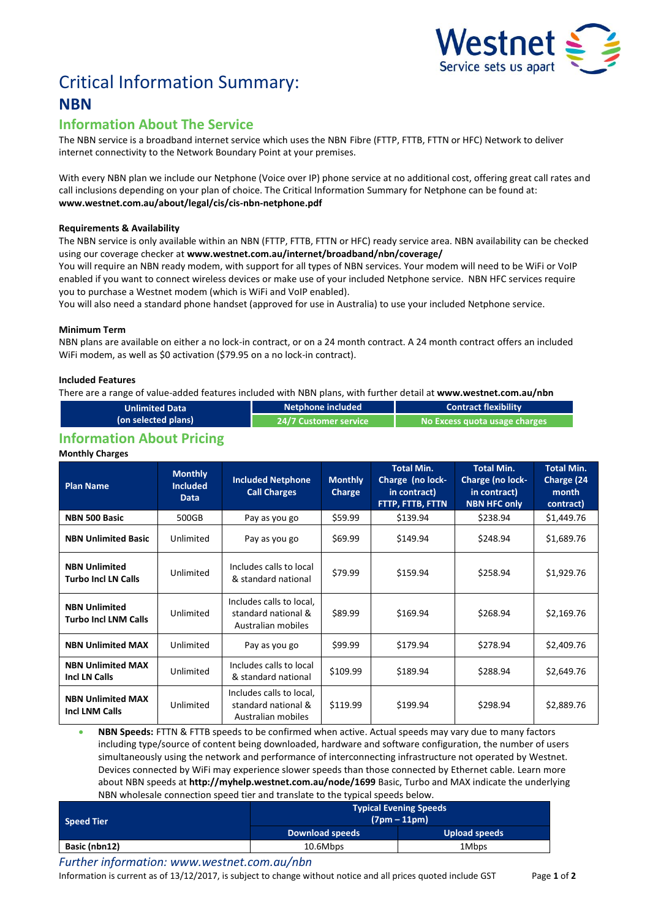

# Critical Information Summary: **NBN**

# **Information About The Service**

The NBN service is a broadband internet service which uses the NBNFibre (FTTP, FTTB, FTTN or HFC) Network to deliver internet connectivity to the Network Boundary Point at your premises.

With every NBN plan we include our Netphone (Voice over IP) phone service at no additional cost, offering great call rates and call inclusions depending on your plan of choice. The Critical Information Summary for Netphone can be found at: **www.westnet.com.au/about/legal/cis/cis-nbn-netphone.pdf**

#### **Requirements & Availability**

The NBN service is only available within an NBN (FTTP, FTTB, FTTN or HFC) ready service area. NBN availability can be checked using our coverage checker at **www.westnet.com.au/internet/broadband/nbn/coverage/**

You will require an NBN ready modem, with support for all types of NBN services. Your modem will need to be WiFi or VoIP enabled if you want to connect wireless devices or make use of your included Netphone service. NBN HFC services require you to purchase a Westnet modem (which is WiFi and VoIP enabled).

You will also need a standard phone handset (approved for use in Australia) to use your included Netphone service.

#### **Minimum Term**

NBN plans are available on either a no lock-in contract, or on a 24 month contract. A 24 month contract offers an included WiFi modem, as well as \$0 activation (\$79.95 on a no lock-in contract).

#### **Included Features**

There are a range of value-added features included with NBN plans, with further detail at **www.westnet.com.au/nbn**

| <b>Unlimited Data</b> | Netphone included     | <b>Contract flexibility</b>     |  |
|-----------------------|-----------------------|---------------------------------|--|
| (on selected plans)   | 24/7 Customer service | l No Excess quota usage charges |  |
|                       |                       |                                 |  |

### **Information About Pricing**

#### **Monthly Charges**

| <b>Plan Name</b>                                    | <b>Monthly</b><br><b>Included</b><br><b>Data</b> | <b>Included Netphone</b><br><b>Call Charges</b>                       | <b>Monthly</b><br>Charge | <b>Total Min.</b><br>Charge (no lock-<br>in contract)<br>FTTP, FTTB, FTTN | <b>Total Min.</b><br>Charge (no lock-<br>in contract)<br><b>NBN HFC only</b> | <b>Total Min.</b><br>Charge (24<br>month<br>contract) |
|-----------------------------------------------------|--------------------------------------------------|-----------------------------------------------------------------------|--------------------------|---------------------------------------------------------------------------|------------------------------------------------------------------------------|-------------------------------------------------------|
| NBN 500 Basic                                       | 500GB                                            | Pay as you go                                                         | \$59.99                  | \$139.94                                                                  | \$238.94                                                                     | \$1,449.76                                            |
| <b>NBN Unlimited Basic</b>                          | Unlimited                                        | Pay as you go                                                         | \$69.99                  | \$149.94                                                                  | \$248.94                                                                     | \$1,689.76                                            |
| <b>NBN Unlimited</b><br><b>Turbo Incl LN Calls</b>  | Unlimited                                        | Includes calls to local<br>& standard national                        | \$79.99                  | \$159.94                                                                  | \$258.94                                                                     | \$1,929.76                                            |
| <b>NBN Unlimited</b><br><b>Turbo Incl LNM Calls</b> | Unlimited                                        | Includes calls to local,<br>standard national &<br>Australian mobiles | \$89.99                  | \$169.94                                                                  | \$268.94                                                                     | \$2,169.76                                            |
| <b>NBN Unlimited MAX</b>                            | Unlimited                                        | Pay as you go                                                         | \$99.99                  | \$179.94                                                                  | \$278.94                                                                     | \$2,409.76                                            |
| <b>NBN Unlimited MAX</b><br><b>Incl LN Calls</b>    | Unlimited                                        | Includes calls to local<br>& standard national                        | \$109.99                 | \$189.94                                                                  | \$288.94                                                                     | \$2,649.76                                            |
| <b>NBN Unlimited MAX</b><br><b>Incl LNM Calls</b>   | Unlimited                                        | Includes calls to local,<br>standard national &<br>Australian mobiles | \$119.99                 | \$199.94                                                                  | \$298.94                                                                     | \$2,889.76                                            |

 **NBN Speeds:** FTTN & FTTB speeds to be confirmed when active. Actual speeds may vary due to many factors including type/source of content being downloaded, hardware and software configuration, the number of users simultaneously using the network and performance of interconnecting infrastructure not operated by Westnet. Devices connected by WiFi may experience slower speeds than those connected by Ethernet cable. Learn more about NBN speeds at **http://myhelp.westnet.com.au/node/1699** Basic, Turbo and MAX indicate the underlying NBN wholesale connection speed tier and translate to the typical speeds below.

| <b>Speed Tier</b> | <b>Typical Evening Speeds</b><br>$(7pm - 11pm)$ |               |  |  |
|-------------------|-------------------------------------------------|---------------|--|--|
|                   | <b>Download speeds</b>                          | Upload speeds |  |  |
| Basic (nbn12)     | 10.6Mbps                                        | 1Mbps         |  |  |

*Further information: www.westnet.com.au/nbn*

Information is current as of 13/12/2017, is subject to change without notice and all prices quoted include GST Page **1** of **2**